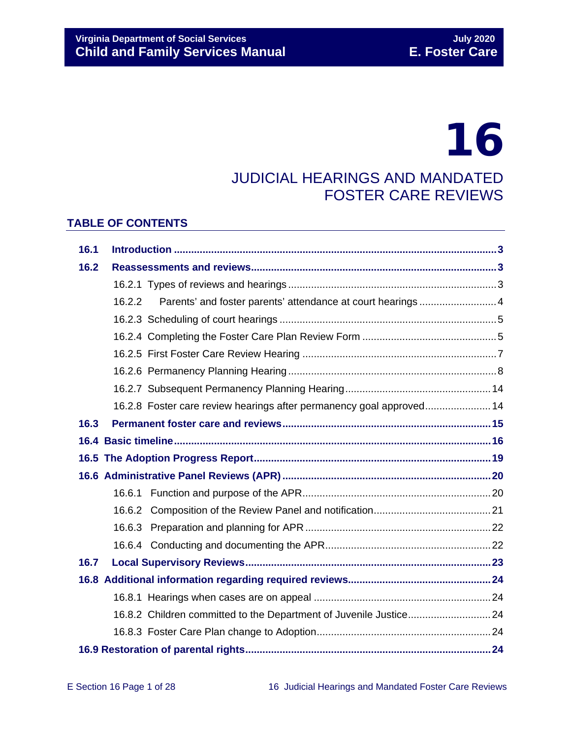# 16

## JUDICIAL HEARINGS AND MANDATED FOSTER CARE REVIEWS

## **TABLE OF CONTENTS**

| 16.1 |        |                                                                      |  |  |
|------|--------|----------------------------------------------------------------------|--|--|
| 16.2 |        |                                                                      |  |  |
|      |        |                                                                      |  |  |
|      | 16.2.2 |                                                                      |  |  |
|      |        |                                                                      |  |  |
|      |        |                                                                      |  |  |
|      |        |                                                                      |  |  |
|      |        |                                                                      |  |  |
|      |        |                                                                      |  |  |
|      |        | 16.2.8 Foster care review hearings after permanency goal approved 14 |  |  |
| 16.3 |        |                                                                      |  |  |
|      |        |                                                                      |  |  |
|      |        |                                                                      |  |  |
|      |        |                                                                      |  |  |
|      |        |                                                                      |  |  |
|      |        |                                                                      |  |  |
|      |        |                                                                      |  |  |
|      |        |                                                                      |  |  |
| 16.7 |        |                                                                      |  |  |
|      |        |                                                                      |  |  |
|      |        |                                                                      |  |  |
|      |        | 16.8.2 Children committed to the Department of Juvenile Justice 24   |  |  |
|      |        |                                                                      |  |  |
|      |        |                                                                      |  |  |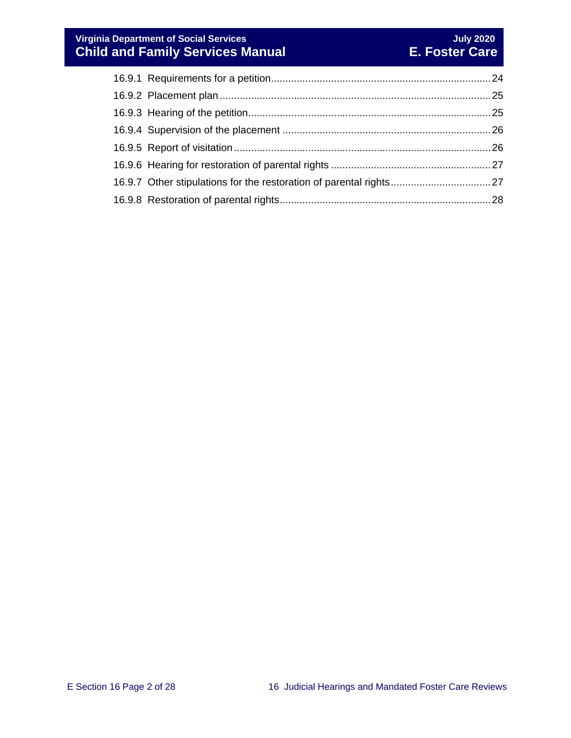## **Virginia Department of Social Services July 2020 Child and Family Services Manual E. Foster Care**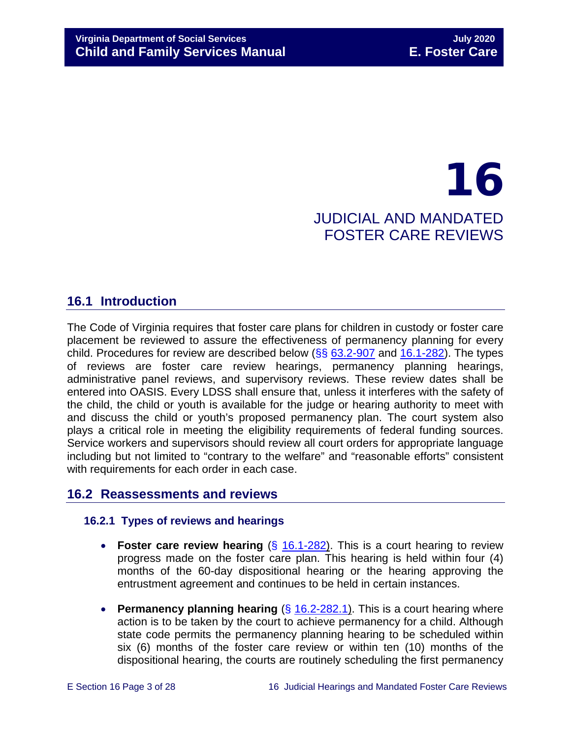## 16 JUDICIAL AND MANDATED FOSTER CARE REVIEWS

## <span id="page-2-0"></span>**16.1 Introduction**

The Code of Virginia requires that foster care plans for children in custody or foster care placement be reviewed to assure the effectiveness of permanency planning for every child. Procedures for review are described below  $(\frac{6}{5}, \frac{63.2-907}{6}]$  $(\frac{6}{5}, \frac{63.2-907}{6}]$  $(\frac{6}{5}, \frac{63.2-907}{6}]$  and  $16.1-282$ ). The types of reviews are foster care review hearings, permanency planning hearings, administrative panel reviews, and supervisory reviews. These review dates shall be entered into OASIS. Every LDSS shall ensure that, unless it interferes with the safety of the child, the child or youth is available for the judge or hearing authority to meet with and discuss the child or youth's proposed permanency plan. The court system also plays a critical role in meeting the eligibility requirements of federal funding sources. Service workers and supervisors should review all court orders for appropriate language including but not limited to "contrary to the welfare" and "reasonable efforts" consistent with requirements for each order in each case.

## <span id="page-2-1"></span>**16.2 Reassessments and reviews**

## <span id="page-2-2"></span>**16.2.1 Types of reviews and hearings**

- **Foster care review hearing** (§ [16.1-282\)](https://law.lis.virginia.gov/vacode/16.1-282/). This is a court hearing to review progress made on the foster care plan. This hearing is held within four (4) months of the 60-day dispositional hearing or the hearing approving the entrustment agreement and continues to be held in certain instances.
- **Permanency planning hearing** (§ [16.2-282.1\)](https://law.lis.virginia.gov/vacode/title16.1/chapter11/section16.1-282.1/). This is a court hearing where action is to be taken by the court to achieve permanency for a child. Although state code permits the permanency planning hearing to be scheduled within six (6) months of the foster care review or within ten (10) months of the dispositional hearing, the courts are routinely scheduling the first permanency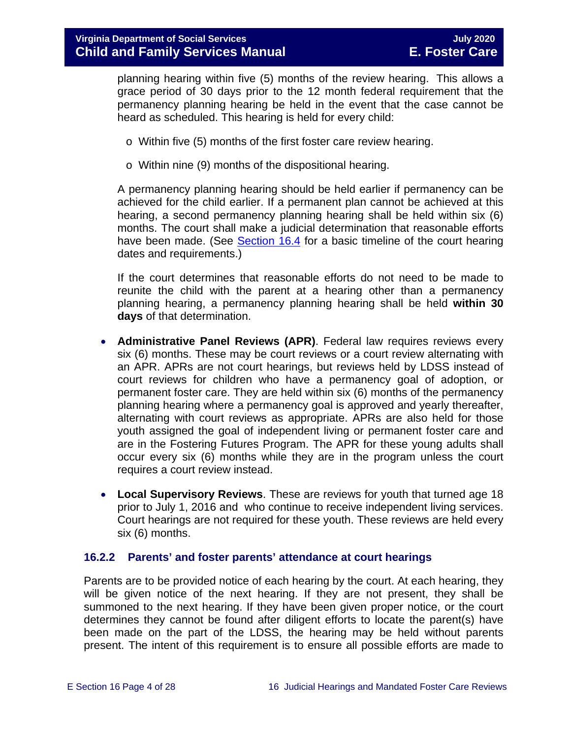planning hearing within five (5) months of the review hearing. This allows a grace period of 30 days prior to the 12 month federal requirement that the permanency planning hearing be held in the event that the case cannot be heard as scheduled. This hearing is held for every child:

- o Within five (5) months of the first foster care review hearing.
- o Within nine (9) months of the dispositional hearing.

A permanency planning hearing should be held earlier if permanency can be achieved for the child earlier. If a permanent plan cannot be achieved at this hearing, a second permanency planning hearing shall be held within six (6) months. The court shall make a judicial determination that reasonable efforts have been made. (See [Section](#page-15-0) 16.4 for a basic timeline of the court hearing dates and requirements.)

If the court determines that reasonable efforts do not need to be made to reunite the child with the parent at a hearing other than a permanency planning hearing, a permanency planning hearing shall be held **within 30 days** of that determination.

- **Administrative Panel Reviews (APR)**. Federal law requires reviews every six (6) months. These may be court reviews or a court review alternating with an APR. APRs are not court hearings, but reviews held by LDSS instead of court reviews for children who have a permanency goal of adoption, or permanent foster care. They are held within six (6) months of the permanency planning hearing where a permanency goal is approved and yearly thereafter, alternating with court reviews as appropriate. APRs are also held for those youth assigned the goal of independent living or permanent foster care and are in the Fostering Futures Program. The APR for these young adults shall occur every six (6) months while they are in the program unless the court requires a court review instead.
- **Local Supervisory Reviews**. These are reviews for youth that turned age 18 prior to July 1, 2016 and who continue to receive independent living services. Court hearings are not required for these youth. These reviews are held every six (6) months.

#### <span id="page-3-0"></span>**16.2.2 Parents' and foster parents' attendance at court hearings**

Parents are to be provided notice of each hearing by the court. At each hearing, they will be given notice of the next hearing. If they are not present, they shall be summoned to the next hearing. If they have been given proper notice, or the court determines they cannot be found after diligent efforts to locate the parent(s) have been made on the part of the LDSS, the hearing may be held without parents present. The intent of this requirement is to ensure all possible efforts are made to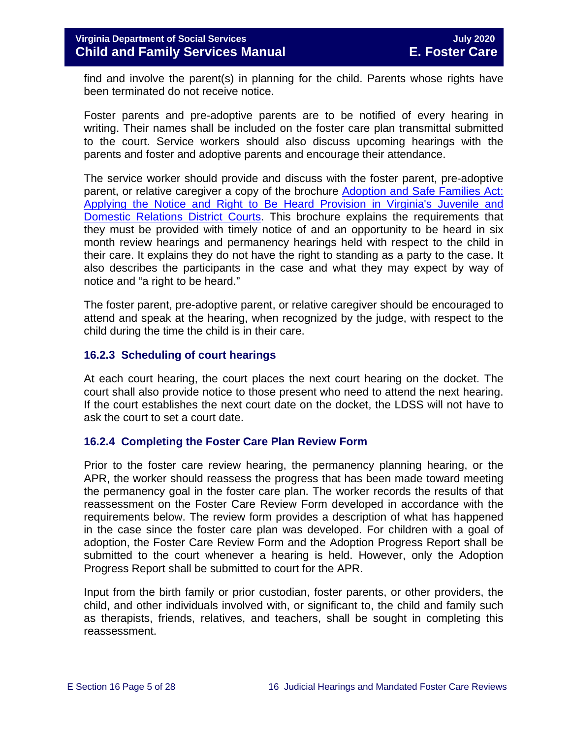find and involve the parent(s) in planning for the child. Parents whose rights have been terminated do not receive notice.

Foster parents and pre-adoptive parents are to be notified of every hearing in writing. Their names shall be included on the foster care plan transmittal submitted to the court. Service workers should also discuss upcoming hearings with the parents and foster and adoptive parents and encourage their attendance.

The service worker should provide and discuss with the foster parent, pre-adoptive parent, or relative caregiver a copy of the brochure [Adoption and Safe Families Act:](http://www.courts.state.va.us/courtadmin/aoc/cip/home.html)  [Applying the Notice and Right to Be Heard Provision in Virginia's Juvenile and](http://www.courts.state.va.us/courtadmin/aoc/cip/home.html)  [Domestic Relations District Courts.](http://www.courts.state.va.us/courtadmin/aoc/cip/home.html) This brochure explains the requirements that they must be provided with timely notice of and an opportunity to be heard in six month review hearings and permanency hearings held with respect to the child in their care. It explains they do not have the right to standing as a party to the case. It also describes the participants in the case and what they may expect by way of notice and "a right to be heard."

The foster parent, pre-adoptive parent, or relative caregiver should be encouraged to attend and speak at the hearing, when recognized by the judge, with respect to the child during the time the child is in their care.

## <span id="page-4-0"></span>**16.2.3 Scheduling of court hearings**

At each court hearing, the court places the next court hearing on the docket. The court shall also provide notice to those present who need to attend the next hearing. If the court establishes the next court date on the docket, the LDSS will not have to ask the court to set a court date.

## <span id="page-4-1"></span>**16.2.4 Completing the Foster Care Plan Review Form**

Prior to the foster care review hearing, the permanency planning hearing, or the APR, the worker should reassess the progress that has been made toward meeting the permanency goal in the foster care plan. The worker records the results of that reassessment on the Foster Care Review Form developed in accordance with the requirements below. The review form provides a description of what has happened in the case since the foster care plan was developed. For children with a goal of adoption, the Foster Care Review Form and the Adoption Progress Report shall be submitted to the court whenever a hearing is held. However, only the Adoption Progress Report shall be submitted to court for the APR.

Input from the birth family or prior custodian, foster parents, or other providers, the child, and other individuals involved with, or significant to, the child and family such as therapists, friends, relatives, and teachers, shall be sought in completing this reassessment.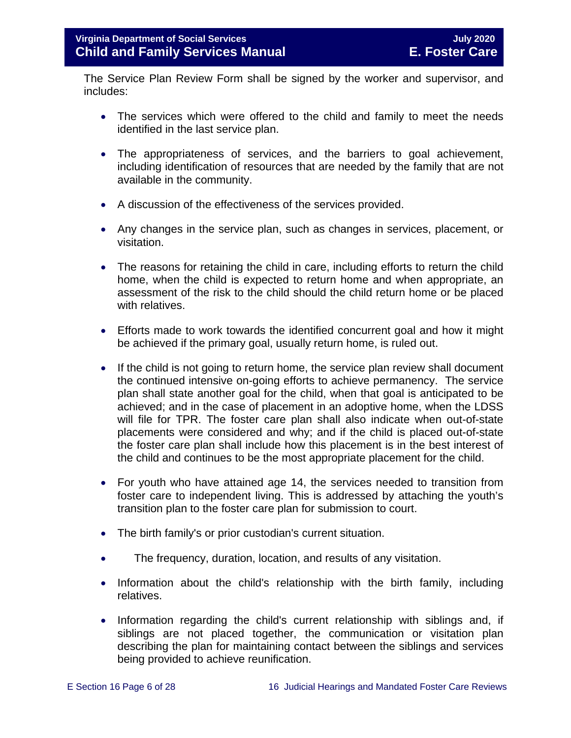The Service Plan Review Form shall be signed by the worker and supervisor, and includes:

- The services which were offered to the child and family to meet the needs identified in the last service plan.
- The appropriateness of services, and the barriers to goal achievement, including identification of resources that are needed by the family that are not available in the community.
- A discussion of the effectiveness of the services provided.
- Any changes in the service plan, such as changes in services, placement, or visitation.
- The reasons for retaining the child in care, including efforts to return the child home, when the child is expected to return home and when appropriate, an assessment of the risk to the child should the child return home or be placed with relatives.
- Efforts made to work towards the identified concurrent goal and how it might be achieved if the primary goal, usually return home, is ruled out.
- If the child is not going to return home, the service plan review shall document the continued intensive on-going efforts to achieve permanency. The service plan shall state another goal for the child, when that goal is anticipated to be achieved; and in the case of placement in an adoptive home, when the LDSS will file for TPR. The foster care plan shall also indicate when out-of-state placements were considered and why; and if the child is placed out-of-state the foster care plan shall include how this placement is in the best interest of the child and continues to be the most appropriate placement for the child.
- For youth who have attained age 14, the services needed to transition from foster care to independent living. This is addressed by attaching the youth's transition plan to the foster care plan for submission to court.
- The birth family's or prior custodian's current situation.
- The frequency, duration, location, and results of any visitation.
- Information about the child's relationship with the birth family, including relatives.
- Information regarding the child's current relationship with siblings and, if siblings are not placed together, the communication or visitation plan describing the plan for maintaining contact between the siblings and services being provided to achieve reunification.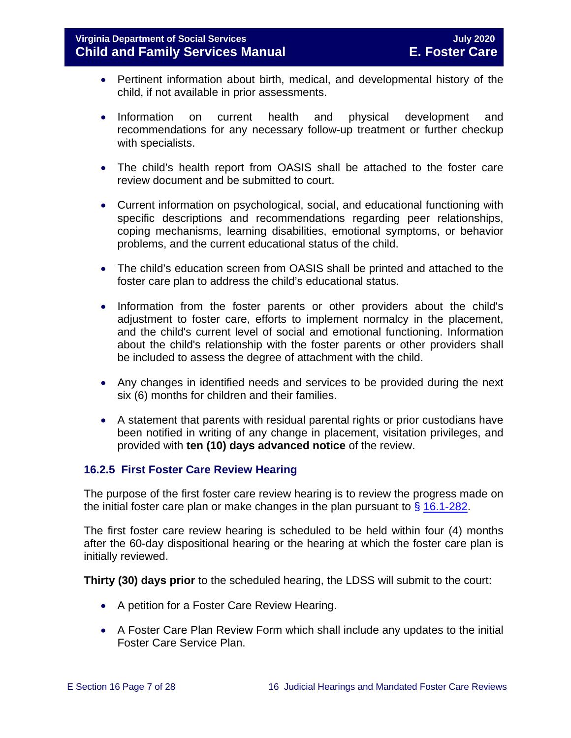- Pertinent information about birth, medical, and developmental history of the child, if not available in prior assessments.
- Information on current health and physical development and recommendations for any necessary follow-up treatment or further checkup with specialists.
- The child's health report from OASIS shall be attached to the foster care review document and be submitted to court.
- Current information on psychological, social, and educational functioning with specific descriptions and recommendations regarding peer relationships, coping mechanisms, learning disabilities, emotional symptoms, or behavior problems, and the current educational status of the child.
- The child's education screen from OASIS shall be printed and attached to the foster care plan to address the child's educational status.
- Information from the foster parents or other providers about the child's adjustment to foster care, efforts to implement normalcy in the placement, and the child's current level of social and emotional functioning. Information about the child's relationship with the foster parents or other providers shall be included to assess the degree of attachment with the child.
- Any changes in identified needs and services to be provided during the next six (6) months for children and their families.
- A statement that parents with residual parental rights or prior custodians have been notified in writing of any change in placement, visitation privileges, and provided with **ten (10) days advanced notice** of the review.

## <span id="page-6-0"></span>**16.2.5 First Foster Care Review Hearing**

The purpose of the first foster care review hearing is to review the progress made on the initial foster care plan or make changes in the plan pursuant to  $\frac{6}{9}$  [16.1-282.](https://law.lis.virginia.gov/vacode/title16.1/chapter11/section16.1-282/)

The first foster care review hearing is scheduled to be held within four (4) months after the 60-day dispositional hearing or the hearing at which the foster care plan is initially reviewed.

**Thirty (30) days prior** to the scheduled hearing, the LDSS will submit to the court:

- A petition for a Foster Care Review Hearing.
- A Foster Care Plan Review Form which shall include any updates to the initial Foster Care Service Plan.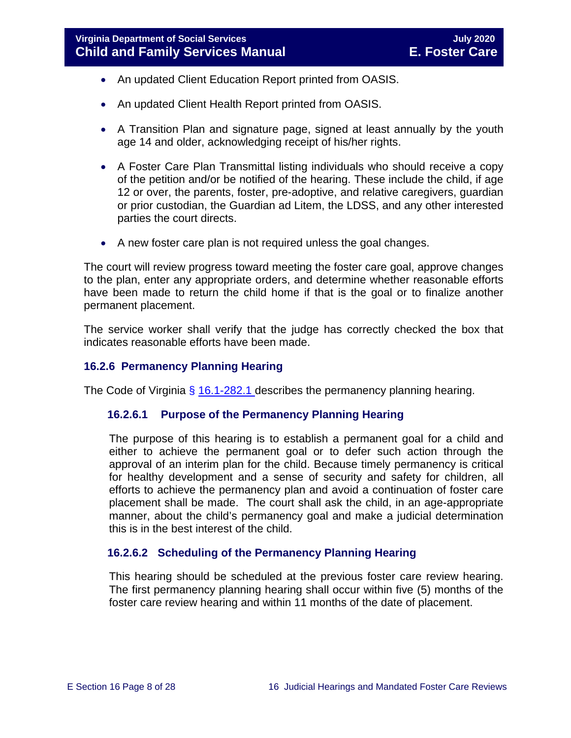- An updated Client Education Report printed from OASIS.
- An updated Client Health Report printed from OASIS.
- A Transition Plan and signature page, signed at least annually by the youth age 14 and older, acknowledging receipt of his/her rights.
- A Foster Care Plan Transmittal listing individuals who should receive a copy of the petition and/or be notified of the hearing. These include the child, if age 12 or over, the parents, foster, pre-adoptive, and relative caregivers, guardian or prior custodian, the Guardian ad Litem, the LDSS, and any other interested parties the court directs.
- A new foster care plan is not required unless the goal changes.

The court will review progress toward meeting the foster care goal, approve changes to the plan, enter any appropriate orders, and determine whether reasonable efforts have been made to return the child home if that is the goal or to finalize another permanent placement.

The service worker shall verify that the judge has correctly checked the box that indicates reasonable efforts have been made.

## <span id="page-7-0"></span>**16.2.6 Permanency Planning Hearing**

The Code of Virginia  $\frac{6}{9}$  [16.1-282.1](https://law.lis.virginia.gov/vacode/16.1-282.1/) describes the permanency planning hearing.

#### **16.2.6.1 Purpose of the Permanency Planning Hearing**

The purpose of this hearing is to establish a permanent goal for a child and either to achieve the permanent goal or to defer such action through the approval of an interim plan for the child. Because timely permanency is critical for healthy development and a sense of security and safety for children, all efforts to achieve the permanency plan and avoid a continuation of foster care placement shall be made. The court shall ask the child, in an age-appropriate manner, about the child's permanency goal and make a judicial determination this is in the best interest of the child.

## **16.2.6.2 Scheduling of the Permanency Planning Hearing**

This hearing should be scheduled at the previous foster care review hearing. The first permanency planning hearing shall occur within five (5) months of the foster care review hearing and within 11 months of the date of placement.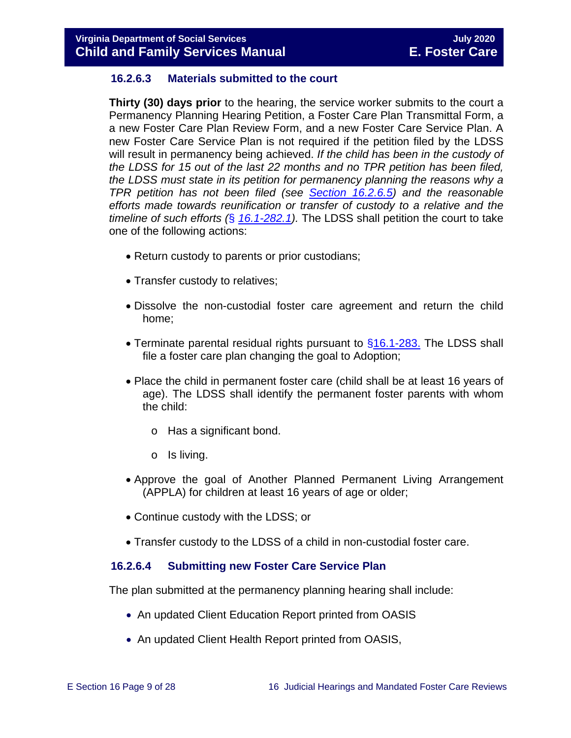## **16.2.6.3 Materials submitted to the court**

**Thirty (30) days prior** to the hearing, the service worker submits to the court a Permanency Planning Hearing Petition, a Foster Care Plan Transmittal Form, a a new Foster Care Plan Review Form, and a new Foster Care Service Plan. A new Foster Care Service Plan is not required if the petition filed by the LDSS will result in permanency being achieved. *If the child has been in the custody of the LDSS for 15 out of the last 22 months and no TPR petition has been filed, the LDSS must state in its petition for permanency planning the reasons why a TPR petition has not been filed (see [Section 16.2.6.5\)](#page-10-0) and the reasonable efforts made towards reunification or transfer of custody to a relative and the timeline of such efforts (*§ *[16.1-282.1\)](https://law.lis.virginia.gov/vacode/16.1-282.1/).* The LDSS shall petition the court to take one of the following actions:

- Return custody to parents or prior custodians;
- Transfer custody to relatives;
- Dissolve the non-custodial foster care agreement and return the child home;
- Terminate parental residual rights pursuant to [§16.1-283.](https://law.lis.virginia.gov/vacode/16.1-283/) The LDSS shall file a foster care plan changing the goal to Adoption;
- Place the child in permanent foster care (child shall be at least 16 years of age). The LDSS shall identify the permanent foster parents with whom the child:
	- o Has a significant bond.
	- o Is living.
- Approve the goal of Another Planned Permanent Living Arrangement (APPLA) for children at least 16 years of age or older;
- Continue custody with the LDSS; or
- Transfer custody to the LDSS of a child in non-custodial foster care.

## **16.2.6.4 Submitting new Foster Care Service Plan**

The plan submitted at the permanency planning hearing shall include:

- An updated Client Education Report printed from OASIS
- An updated Client Health Report printed from OASIS,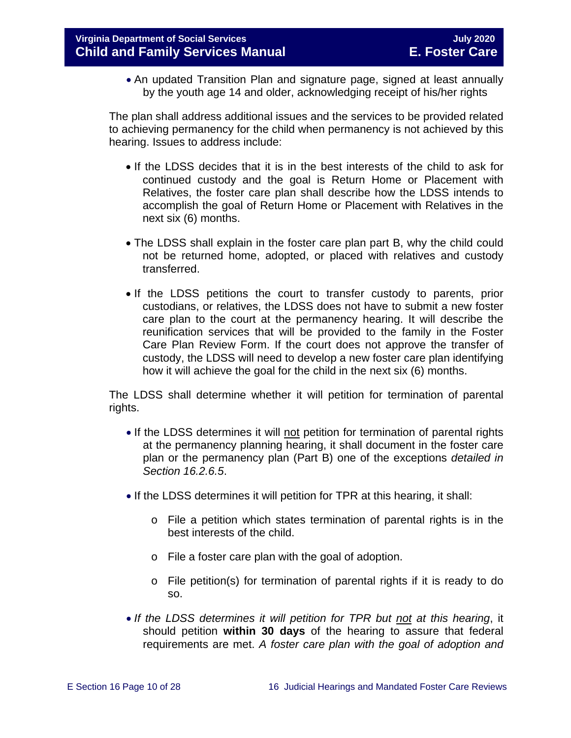• An updated Transition Plan and signature page, signed at least annually by the youth age 14 and older, acknowledging receipt of his/her rights

The plan shall address additional issues and the services to be provided related to achieving permanency for the child when permanency is not achieved by this hearing. Issues to address include:

- If the LDSS decides that it is in the best interests of the child to ask for continued custody and the goal is Return Home or Placement with Relatives, the foster care plan shall describe how the LDSS intends to accomplish the goal of Return Home or Placement with Relatives in the next six (6) months.
- The LDSS shall explain in the foster care plan part B, why the child could not be returned home, adopted, or placed with relatives and custody transferred.
- If the LDSS petitions the court to transfer custody to parents, prior custodians, or relatives, the LDSS does not have to submit a new foster care plan to the court at the permanency hearing. It will describe the reunification services that will be provided to the family in the Foster Care Plan Review Form. If the court does not approve the transfer of custody, the LDSS will need to develop a new foster care plan identifying how it will achieve the goal for the child in the next six (6) months.

The LDSS shall determine whether it will petition for termination of parental rights.

- If the LDSS determines it will not petition for termination of parental rights at the permanency planning hearing, it shall document in the foster care plan or the permanency plan (Part B) one of the exceptions *detailed in Section 16.2.6.5*.
- If the LDSS determines it will petition for TPR at this hearing, it shall:
	- $\circ$  File a petition which states termination of parental rights is in the best interests of the child.
	- o File a foster care plan with the goal of adoption.
	- o File petition(s) for termination of parental rights if it is ready to do so.
- *If the LDSS determines it will petition for TPR but not at this hearing*, it should petition **within 30 days** of the hearing to assure that federal requirements are met. *A foster care plan with the goal of adoption and*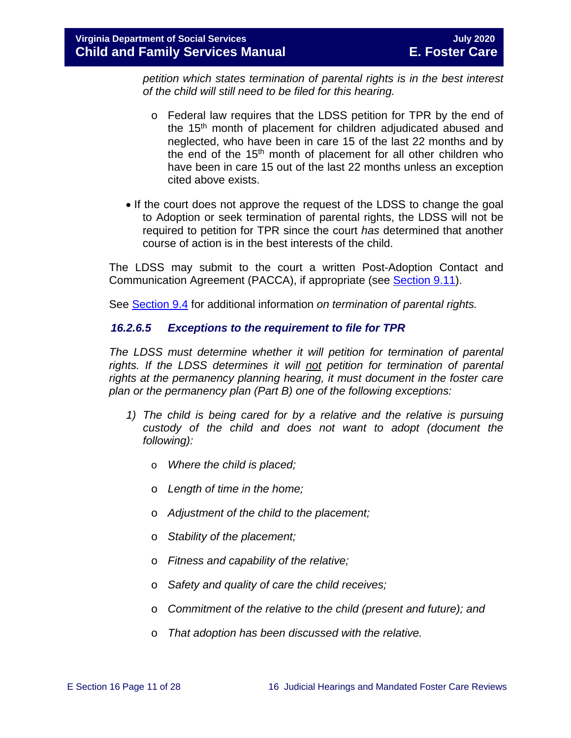*petition which states termination of parental rights is in the best interest of the child will still need to be filed for this hearing.* 

- o Federal law requires that the LDSS petition for TPR by the end of the 15<sup>th</sup> month of placement for children adjudicated abused and neglected, who have been in care 15 of the last 22 months and by the end of the 15<sup>th</sup> month of placement for all other children who have been in care 15 out of the last 22 months unless an exception cited above exists.
- If the court does not approve the request of the LDSS to change the goal to Adoption or seek termination of parental rights, the LDSS will not be required to petition for TPR since the court *has* determined that another course of action is in the best interests of the child.

The LDSS may submit to the court a written Post-Adoption Contact and Communication Agreement (PACCA), if appropriate (see [Section 9.11\)](https://fusion.dss.virginia.gov/Portals/%5bdfs%5d/Files/DFS%20Manuals/Foster%20Care%20Manuals/Foster%20Care%20Manual%2007-2020/Final%20Foster%20Care%20Manual%2007-2020/section_9_achieving_permanency_goal_adoption.pdf#page=33).

See [Section 9.4](https://fusion.dss.virginia.gov/Portals/%5bdfs%5d/Files/DFS%20Manuals/Foster%20Care%20Manuals/Foster%20Care%20Manual%2007-2020/Final%20Foster%20Care%20Manual%2007-2020/section_9_achieving_permanency_goal_adoption.pdf#page=5) for additional information *on termination of parental rights.*

## <span id="page-10-0"></span>*16.2.6.5 Exceptions to the requirement to file for TPR*

*The LDSS must determine whether it will petition for termination of parental rights. If the LDSS determines it will not petition for termination of parental rights at the permanency planning hearing, it must document in the foster care plan or the permanency plan (Part B) one of the following exceptions:*

- *1) The child is being cared for by a relative and the relative is pursuing custody of the child and does not want to adopt (document the following):*
	- o *Where the child is placed;*
	- o *Length of time in the home;*
	- o *Adjustment of the child to the placement;*
	- o *Stability of the placement;*
	- o *Fitness and capability of the relative;*
	- o *Safety and quality of care the child receives;*
	- o *Commitment of the relative to the child (present and future); and*
	- o *That adoption has been discussed with the relative.*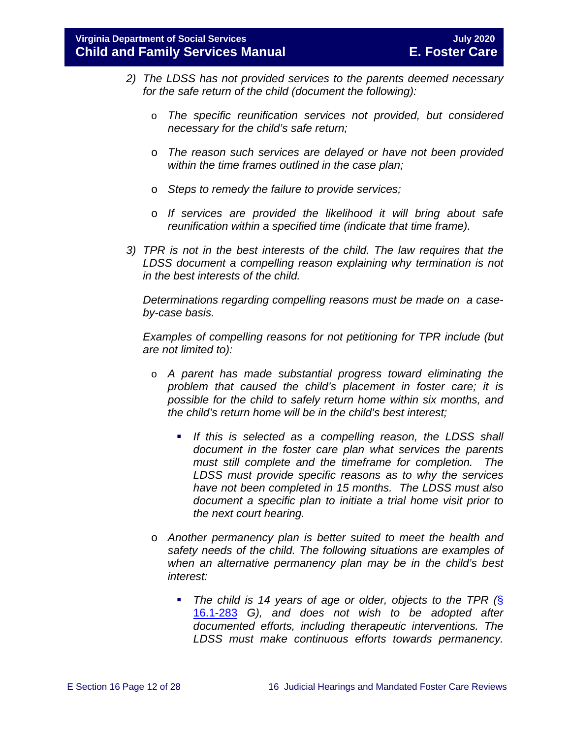- *2) The LDSS has not provided services to the parents deemed necessary for the safe return of the child (document the following):*
	- o *The specific reunification services not provided, but considered necessary for the child's safe return;*
	- o *The reason such services are delayed or have not been provided within the time frames outlined in the case plan;*
	- o *Steps to remedy the failure to provide services;*
	- o *If services are provided the likelihood it will bring about safe reunification within a specified time (indicate that time frame).*
- *3) TPR is not in the best interests of the child. The law requires that the LDSS document a compelling reason explaining why termination is not in the best interests of the child.*

*Determinations regarding compelling reasons must be made on a caseby-case basis.*

*Examples of compelling reasons for not petitioning for TPR include (but are not limited to):*

- o *A parent has made substantial progress toward eliminating the problem that caused the child's placement in foster care; it is possible for the child to safely return home within six months, and the child's return home will be in the child's best interest;*
	- **If this is selected as a compelling reason, the LDSS shall** *document in the foster care plan what services the parents must still complete and the timeframe for completion. The LDSS must provide specific reasons as to why the services have not been completed in 15 months. The LDSS must also document a specific plan to initiate a trial home visit prior to the next court hearing.*
- o *Another permanency plan is better suited to meet the health and safety needs of the child. The following situations are examples of when an alternative permanency plan may be in the child's best interest:*
	- *The child is 14 years of age or older, objects to the TPR (*§ [16.1-283](https://law.lis.virginia.gov/vacode/title16.1/chapter11/section16.1-283/) *G), and does not wish to be adopted after documented efforts, including therapeutic interventions. The LDSS must make continuous efforts towards permanency.*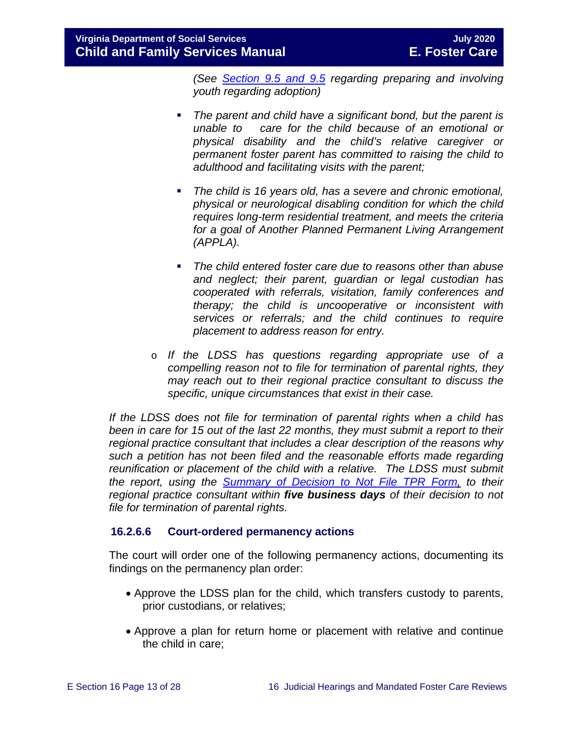*(See [Section 9.5 and 9.5](https://fusion.dss.virginia.gov/Portals/%5bdfs%5d/Files/DFS%20Manuals/Foster%20Care%20Manuals/Foster%20Care%20Manual%2007-2020/Final%20Foster%20Care%20Manual%2007-2020/section_9_achieving_permanency_goal_adoption.pdf#page=17) regarding preparing and involving youth regarding adoption)* 

- *The parent and child have a significant bond, but the parent is unable to care for the child because of an emotional or physical disability and the child's relative caregiver or permanent foster parent has committed to raising the child to adulthood and facilitating visits with the parent;*
- *The child is 16 years old, has a severe and chronic emotional, physical or neurological disabling condition for which the child requires long-term residential treatment, and meets the criteria for a goal of Another Planned Permanent Living Arrangement (APPLA).*
- *The child entered foster care due to reasons other than abuse and neglect; their parent, guardian or legal custodian has cooperated with referrals, visitation, family conferences and therapy; the child is uncooperative or inconsistent with services or referrals; and the child continues to require placement to address reason for entry.*
- o *If the LDSS has questions regarding appropriate use of a compelling reason not to file for termination of parental rights, they may reach out to their regional practice consultant to discuss the specific, unique circumstances that exist in their case.*

*If the LDSS does not file for termination of parental rights when a child has been in care for 15 out of the last 22 months, they must submit a report to their regional practice consultant that includes a clear description of the reasons why such a petition has not been filed and the reasonable efforts made regarding reunification or placement of the child with a relative. The LDSS must submit the report, using the [Summary of Decision to Not File TPR Form,](https://fusion.dss.virginia.gov/Portals/%5bdfs%5d/Files/DFS%20FORMS/Foster%20Care%20Forms/Summary%20of%20Decision%20Not%20to%20File%20for%20TPR%20with%20Instructions.pdf) to their regional practice consultant within five business days of their decision to not file for termination of parental rights.*

## **16.2.6.6 Court-ordered permanency actions**

The court will order one of the following permanency actions, documenting its findings on the permanency plan order:

- Approve the LDSS plan for the child, which transfers custody to parents, prior custodians, or relatives;
- Approve a plan for return home or placement with relative and continue the child in care;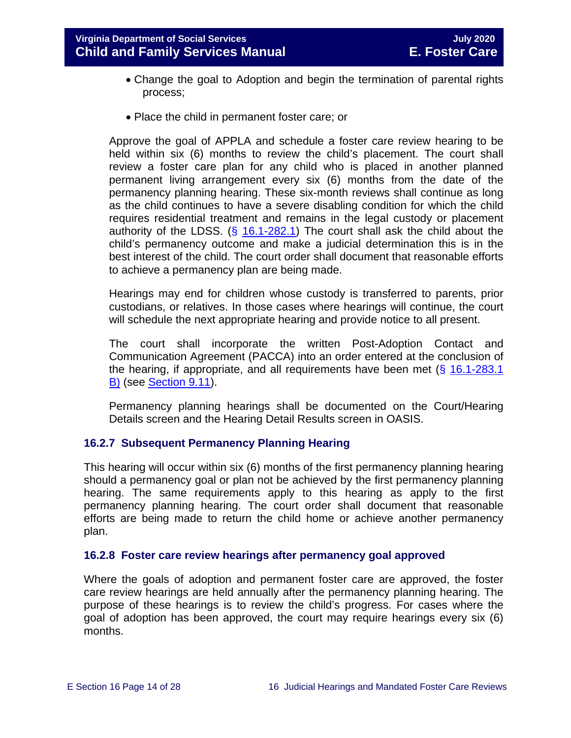- Change the goal to Adoption and begin the termination of parental rights process;
- Place the child in permanent foster care; or

Approve the goal of APPLA and schedule a foster care review hearing to be held within six (6) months to review the child's placement. The court shall review a foster care plan for any child who is placed in another planned permanent living arrangement every six (6) months from the date of the permanency planning hearing. These six-month reviews shall continue as long as the child continues to have a severe disabling condition for which the child requires residential treatment and remains in the legal custody or placement authority of the LDSS.  $(\S$  [16.1-282.1\)](https://law.lis.virginia.gov/vacode/16.1-282.1/) The court shall ask the child about the child's permanency outcome and make a judicial determination this is in the best interest of the child. The court order shall document that reasonable efforts to achieve a permanency plan are being made.

Hearings may end for children whose custody is transferred to parents, prior custodians, or relatives. In those cases where hearings will continue, the court will schedule the next appropriate hearing and provide notice to all present.

The court shall incorporate the written Post-Adoption Contact and Communication Agreement (PACCA) into an order entered at the conclusion of the hearing, if appropriate, and all requirements have been met  $(\S 16.1-283.1)$ [B\)](https://law.lis.virginia.gov/vacode/16.1-283.1/) (see [Section 9.11\)](https://fusion.dss.virginia.gov/Portals/%5bdfs%5d/Files/DFS%20Manuals/Foster%20Care%20Manuals/Foster%20Care%20Manual%2007-2020/Final%20Foster%20Care%20Manual%2007-2020/section_9_achieving_permanency_goal_adoption.pdf#page=33).

Permanency planning hearings shall be documented on the Court/Hearing Details screen and the Hearing Detail Results screen in OASIS.

## <span id="page-13-0"></span>**16.2.7 Subsequent Permanency Planning Hearing**

This hearing will occur within six (6) months of the first permanency planning hearing should a permanency goal or plan not be achieved by the first permanency planning hearing. The same requirements apply to this hearing as apply to the first permanency planning hearing. The court order shall document that reasonable efforts are being made to return the child home or achieve another permanency plan.

#### <span id="page-13-1"></span>**16.2.8 Foster care review hearings after permanency goal approved**

Where the goals of adoption and permanent foster care are approved, the foster care review hearings are held annually after the permanency planning hearing. The purpose of these hearings is to review the child's progress. For cases where the goal of adoption has been approved, the court may require hearings every six (6) months.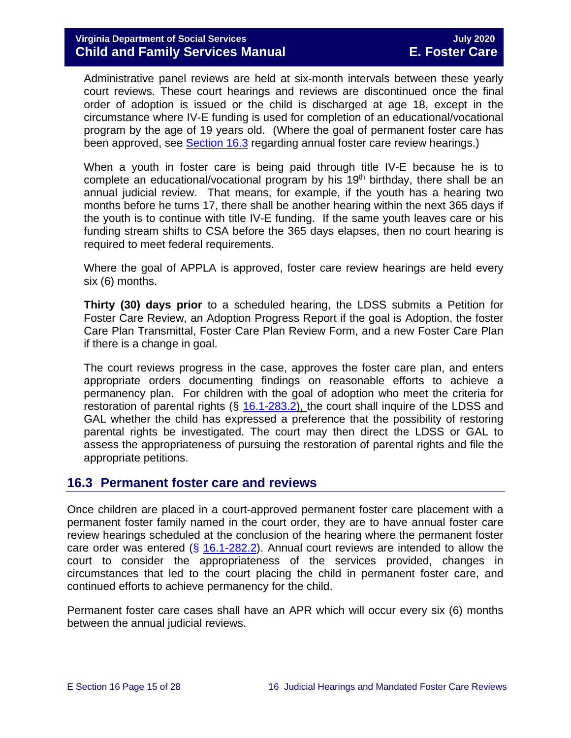Administrative panel reviews are held at six-month intervals between these yearly court reviews. These court hearings and reviews are discontinued once the final order of adoption is issued or the child is discharged at age 18, except in the circumstance where IV-E funding is used for completion of an educational/vocational program by the age of 19 years old. (Where the goal of permanent foster care has been approved, see **Section 16.3** regarding annual foster care review hearings.)

When a youth in foster care is being paid through title IV-E because he is to complete an educational/vocational program by his  $19<sup>th</sup>$  birthday, there shall be an annual judicial review. That means, for example, if the youth has a hearing two months before he turns 17, there shall be another hearing within the next 365 days if the youth is to continue with title IV-E funding. If the same youth leaves care or his funding stream shifts to CSA before the 365 days elapses, then no court hearing is required to meet federal requirements.

Where the goal of APPLA is approved, foster care review hearings are held every six (6) months.

**Thirty (30) days prior** to a scheduled hearing, the LDSS submits a Petition for Foster Care Review, an Adoption Progress Report if the goal is Adoption, the foster Care Plan Transmittal, Foster Care Plan Review Form, and a new Foster Care Plan if there is a change in goal.

The court reviews progress in the case, approves the foster care plan, and enters appropriate orders documenting findings on reasonable efforts to achieve a permanency plan. For children with the goal of adoption who meet the criteria for restoration of parental rights  $(§ 16.1-283.2)$  $(§ 16.1-283.2)$ , the court shall inquire of the LDSS and GAL whether the child has expressed a preference that the possibility of restoring parental rights be investigated. The court may then direct the LDSS or GAL to assess the appropriateness of pursuing the restoration of parental rights and file the appropriate petitions.

## <span id="page-14-0"></span>**16.3 Permanent foster care and reviews**

Once children are placed in a court-approved permanent foster care placement with a permanent foster family named in the court order, they are to have annual foster care review hearings scheduled at the conclusion of the hearing where the permanent foster care order was entered  $(\S$  [16.1-282.2\)](https://law.lis.virginia.gov/vacode/16.1-282.2/). Annual court reviews are intended to allow the court to consider the appropriateness of the services provided, changes in circumstances that led to the court placing the child in permanent foster care, and continued efforts to achieve permanency for the child.

Permanent foster care cases shall have an APR which will occur every six (6) months between the annual judicial reviews.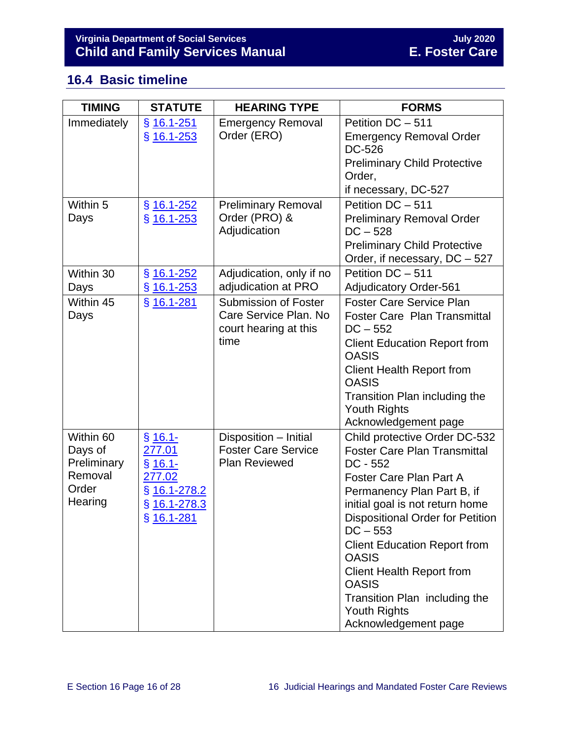## <span id="page-15-0"></span>**16.4 Basic timeline**

| <b>TIMING</b>                                                      | <b>STATUTE</b>                                                                           | <b>HEARING TYPE</b>                                                                   | <b>FORMS</b>                                                                                                                                                                                                                                                                                                                                                                                                                |
|--------------------------------------------------------------------|------------------------------------------------------------------------------------------|---------------------------------------------------------------------------------------|-----------------------------------------------------------------------------------------------------------------------------------------------------------------------------------------------------------------------------------------------------------------------------------------------------------------------------------------------------------------------------------------------------------------------------|
| Immediately                                                        | § 16.1-251<br>$§$ 16.1-253                                                               | <b>Emergency Removal</b><br>Order (ERO)                                               | Petition DC - 511<br><b>Emergency Removal Order</b><br>DC-526<br><b>Preliminary Child Protective</b><br>Order,<br>if necessary, DC-527                                                                                                                                                                                                                                                                                      |
| Within 5<br>Days                                                   | $§$ 16.1-252<br>$§$ 16.1-253                                                             | <b>Preliminary Removal</b><br>Order (PRO) &<br>Adjudication                           | Petition DC - 511<br><b>Preliminary Removal Order</b><br>$DC - 528$<br><b>Preliminary Child Protective</b><br>Order, if necessary, DC - 527                                                                                                                                                                                                                                                                                 |
| Within 30<br>Days                                                  | $§$ 16.1-252<br>§ 16.1-253                                                               | Adjudication, only if no<br>adjudication at PRO                                       | Petition DC - 511<br><b>Adjudicatory Order-561</b>                                                                                                                                                                                                                                                                                                                                                                          |
| Within 45<br>Days                                                  | § 16.1-281                                                                               | <b>Submission of Foster</b><br>Care Service Plan. No<br>court hearing at this<br>time | <b>Foster Care Service Plan</b><br><b>Foster Care Plan Transmittal</b><br>$DC - 552$<br><b>Client Education Report from</b><br><b>OASIS</b><br><b>Client Health Report from</b><br><b>OASIS</b><br>Transition Plan including the<br><b>Youth Rights</b><br>Acknowledgement page                                                                                                                                             |
| Within 60<br>Days of<br>Preliminary<br>Removal<br>Order<br>Hearing | $$16.1-$<br>277.01<br>$$16.1-$<br>277.02<br>§ 16.1-278.2<br>$§$ 16.1-278.3<br>§ 16.1-281 | Disposition - Initial<br><b>Foster Care Service</b><br><b>Plan Reviewed</b>           | Child protective Order DC-532<br><b>Foster Care Plan Transmittal</b><br>$DC - 552$<br>Foster Care Plan Part A<br>Permanency Plan Part B, if<br>initial goal is not return home<br>Dispositional Order for Petition<br>$DC - 553$<br><b>Client Education Report from</b><br><b>OASIS</b><br><b>Client Health Report from</b><br><b>OASIS</b><br>Transition Plan including the<br><b>Youth Rights</b><br>Acknowledgement page |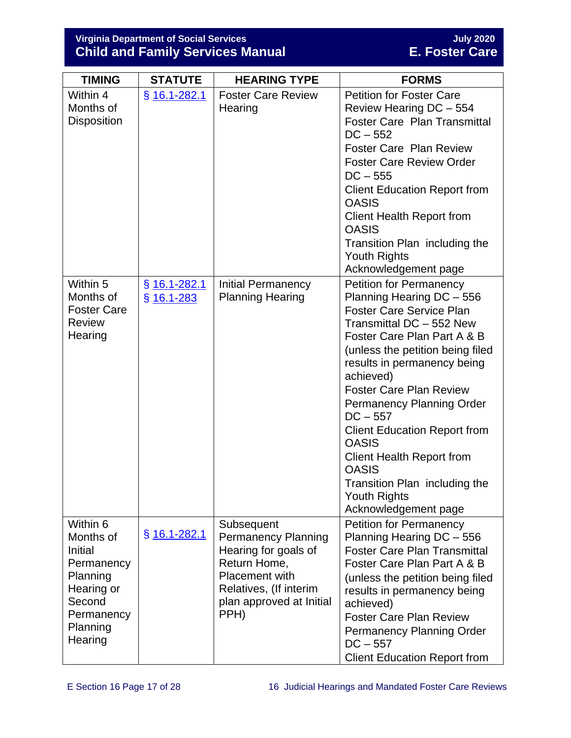## **Virginia Department of Social Services July 2020 Child and Family Services Manual E. Foster Care**

| <b>TIMING</b>                                                                                                           | <b>STATUTE</b>                 | <b>HEARING TYPE</b>                                                                                                                                              | <b>FORMS</b>                                                                                                                                                                                                                                                                                                                                                                                                                                                                                                             |
|-------------------------------------------------------------------------------------------------------------------------|--------------------------------|------------------------------------------------------------------------------------------------------------------------------------------------------------------|--------------------------------------------------------------------------------------------------------------------------------------------------------------------------------------------------------------------------------------------------------------------------------------------------------------------------------------------------------------------------------------------------------------------------------------------------------------------------------------------------------------------------|
| Within 4<br>Months of<br><b>Disposition</b>                                                                             | $§$ 16.1-282.1                 | <b>Foster Care Review</b><br>Hearing                                                                                                                             | <b>Petition for Foster Care</b><br>Review Hearing DC - 554<br><b>Foster Care Plan Transmittal</b><br>$DC - 552$<br><b>Foster Care Plan Review</b><br><b>Foster Care Review Order</b><br>$DC - 555$<br><b>Client Education Report from</b><br><b>OASIS</b><br><b>Client Health Report from</b><br><b>OASIS</b><br>Transition Plan including the<br>Youth Rights<br>Acknowledgement page                                                                                                                                   |
| Within 5<br>Months of<br><b>Foster Care</b><br><b>Review</b><br>Hearing                                                 | $§$ 16.1-282.1<br>$§$ 16.1-283 | <b>Initial Permanency</b><br><b>Planning Hearing</b>                                                                                                             | <b>Petition for Permanency</b><br>Planning Hearing DC - 556<br><b>Foster Care Service Plan</b><br>Transmittal DC - 552 New<br>Foster Care Plan Part A & B<br>(unless the petition being filed<br>results in permanency being<br>achieved)<br><b>Foster Care Plan Review</b><br><b>Permanency Planning Order</b><br>$DC - 557$<br><b>Client Education Report from</b><br><b>OASIS</b><br><b>Client Health Report from</b><br><b>OASIS</b><br>Transition Plan including the<br><b>Youth Rights</b><br>Acknowledgement page |
| Within 6<br>Months of<br>Initial<br>Permanency<br>Planning<br>Hearing or<br>Second<br>Permanency<br>Planning<br>Hearing | $§$ 16.1-282.1                 | Subsequent<br><b>Permanency Planning</b><br>Hearing for goals of<br>Return Home,<br>Placement with<br>Relatives, (If interim<br>plan approved at Initial<br>PPH) | <b>Petition for Permanency</b><br>Planning Hearing DC - 556<br><b>Foster Care Plan Transmittal</b><br>Foster Care Plan Part A & B<br>(unless the petition being filed<br>results in permanency being<br>achieved)<br><b>Foster Care Plan Review</b><br><b>Permanency Planning Order</b><br>$DC - 557$<br><b>Client Education Report from</b>                                                                                                                                                                             |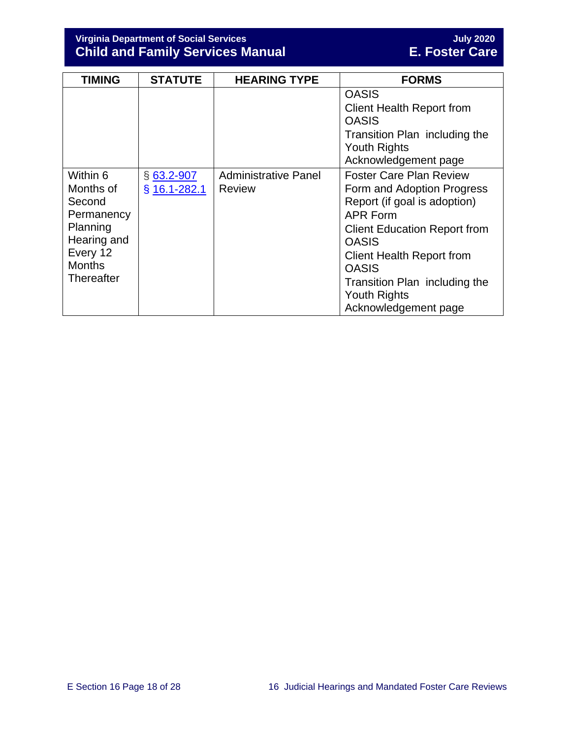**Virginia Department of Social Services July 2020 Child and Family Services Manual E. Foster Care**

| <b>TIMING</b>                                                                                                              | <b>STATUTE</b>                 | <b>HEARING TYPE</b>                          | <b>FORMS</b>                                                                                                                                                                                                                                                                                               |
|----------------------------------------------------------------------------------------------------------------------------|--------------------------------|----------------------------------------------|------------------------------------------------------------------------------------------------------------------------------------------------------------------------------------------------------------------------------------------------------------------------------------------------------------|
|                                                                                                                            |                                |                                              | <b>OASIS</b><br><b>Client Health Report from</b><br><b>OASIS</b><br>Transition Plan including the<br><b>Youth Rights</b><br>Acknowledgement page                                                                                                                                                           |
| Within 6<br>Months of<br>Second<br>Permanency<br>Planning<br>Hearing and<br>Every 12<br><b>Months</b><br><b>Thereafter</b> | $§$ 63.2-907<br>$§$ 16.1-282.1 | <b>Administrative Panel</b><br><b>Review</b> | <b>Foster Care Plan Review</b><br>Form and Adoption Progress<br>Report (if goal is adoption)<br><b>APR Form</b><br><b>Client Education Report from</b><br><b>OASIS</b><br><b>Client Health Report from</b><br><b>OASIS</b><br>Transition Plan including the<br><b>Youth Rights</b><br>Acknowledgement page |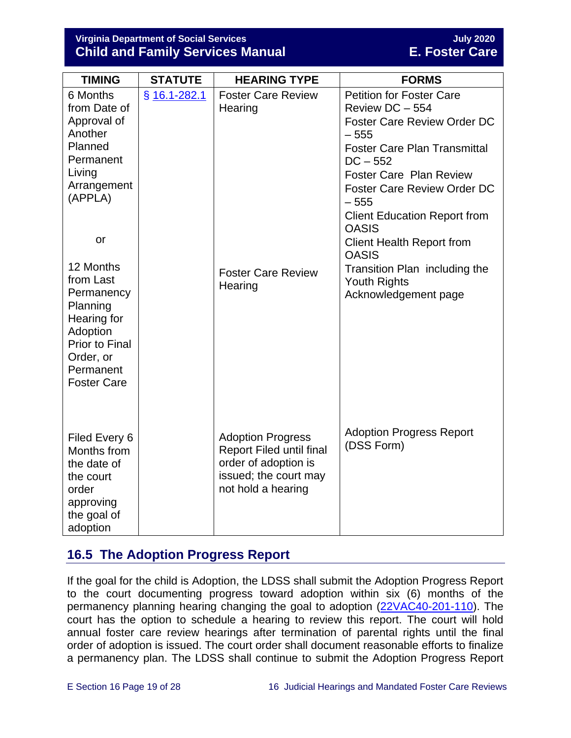**Virginia Department of Social Services July 2020 Child and Family Services Manual** 

| <b>TIMING</b>                                                                                                                                                | <b>STATUTE</b> | <b>HEARING TYPE</b>                                                                                                                | <b>FORMS</b>                                                                                                                                                                                                                                                                                                                                                                                                                  |
|--------------------------------------------------------------------------------------------------------------------------------------------------------------|----------------|------------------------------------------------------------------------------------------------------------------------------------|-------------------------------------------------------------------------------------------------------------------------------------------------------------------------------------------------------------------------------------------------------------------------------------------------------------------------------------------------------------------------------------------------------------------------------|
| 6 Months<br>from Date of<br>Approval of<br>Another<br>Planned<br>Permanent<br>Living<br>Arrangement<br>(APPLA)<br>or<br>12 Months<br>from Last<br>Permanency | § 16.1-282.1   | <b>Foster Care Review</b><br>Hearing<br><b>Foster Care Review</b><br>Hearing                                                       | <b>Petition for Foster Care</b><br>Review DC - 554<br>Foster Care Review Order DC<br>$-555$<br><b>Foster Care Plan Transmittal</b><br>$DC - 552$<br><b>Foster Care Plan Review</b><br><b>Foster Care Review Order DC</b><br>$-555$<br><b>Client Education Report from</b><br><b>OASIS</b><br><b>Client Health Report from</b><br><b>OASIS</b><br>Transition Plan including the<br><b>Youth Rights</b><br>Acknowledgement page |
| Planning<br>Hearing for<br>Adoption<br>Prior to Final<br>Order, or<br>Permanent<br><b>Foster Care</b>                                                        |                |                                                                                                                                    |                                                                                                                                                                                                                                                                                                                                                                                                                               |
| Filed Every 6<br>Months from<br>the date of<br>the court<br>order<br>approving<br>the goal of<br>adoption                                                    |                | <b>Adoption Progress</b><br><b>Report Filed until final</b><br>order of adoption is<br>issued; the court may<br>not hold a hearing | <b>Adoption Progress Report</b><br>(DSS Form)                                                                                                                                                                                                                                                                                                                                                                                 |

## <span id="page-18-0"></span>**16.5 The Adoption Progress Report**

If the goal for the child is Adoption, the LDSS shall submit the Adoption Progress Report to the court documenting progress toward adoption within six (6) months of the permanency planning hearing changing the goal to adoption [\(22VAC40-201-110\)](https://law.lis.virginia.gov/admincode/title22/agency40/chapter201/section110/). The court has the option to schedule a hearing to review this report. The court will hold annual foster care review hearings after termination of parental rights until the final order of adoption is issued. The court order shall document reasonable efforts to finalize a permanency plan. The LDSS shall continue to submit the Adoption Progress Report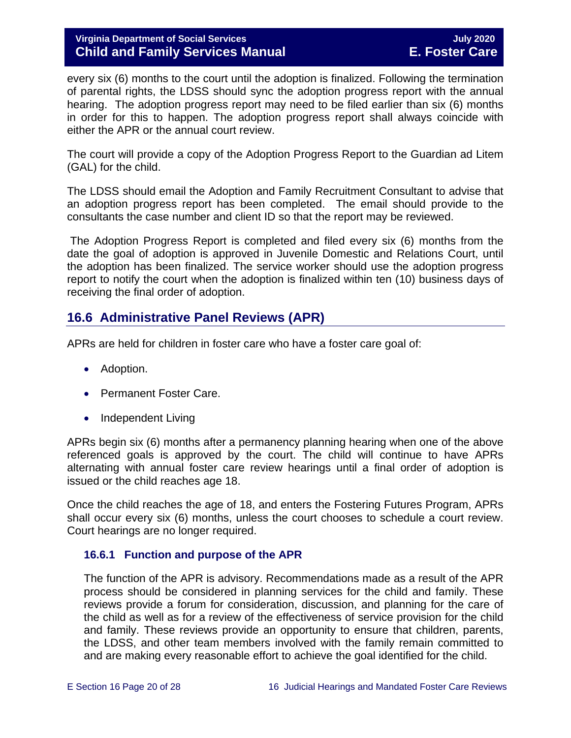every six (6) months to the court until the adoption is finalized. Following the termination of parental rights, the LDSS should sync the adoption progress report with the annual hearing. The adoption progress report may need to be filed earlier than six (6) months in order for this to happen. The adoption progress report shall always coincide with either the APR or the annual court review.

The court will provide a copy of the Adoption Progress Report to the Guardian ad Litem (GAL) for the child.

The LDSS should email the Adoption and Family Recruitment Consultant to advise that an adoption progress report has been completed. The email should provide to the consultants the case number and client ID so that the report may be reviewed.

The Adoption Progress Report is completed and filed every six (6) months from the date the goal of adoption is approved in Juvenile Domestic and Relations Court, until the adoption has been finalized. The service worker should use the adoption progress report to notify the court when the adoption is finalized within ten (10) business days of receiving the final order of adoption.

## <span id="page-19-0"></span>**16.6 Administrative Panel Reviews (APR)**

APRs are held for children in foster care who have a foster care goal of:

- Adoption.
- Permanent Foster Care.
- Independent Living

APRs begin six (6) months after a permanency planning hearing when one of the above referenced goals is approved by the court. The child will continue to have APRs alternating with annual foster care review hearings until a final order of adoption is issued or the child reaches age 18.

Once the child reaches the age of 18, and enters the Fostering Futures Program, APRs shall occur every six (6) months, unless the court chooses to schedule a court review. Court hearings are no longer required.

## <span id="page-19-1"></span>**16.6.1 Function and purpose of the APR**

The function of the APR is advisory. Recommendations made as a result of the APR process should be considered in planning services for the child and family. These reviews provide a forum for consideration, discussion, and planning for the care of the child as well as for a review of the effectiveness of service provision for the child and family. These reviews provide an opportunity to ensure that children, parents, the LDSS, and other team members involved with the family remain committed to and are making every reasonable effort to achieve the goal identified for the child.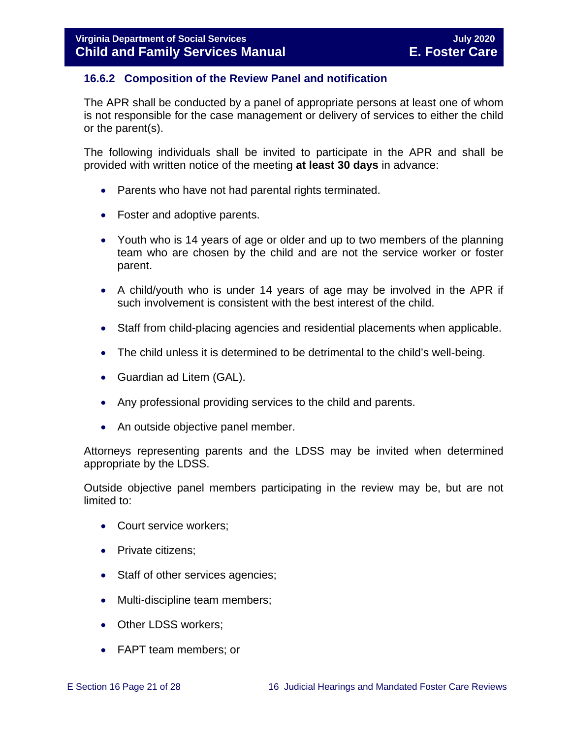## <span id="page-20-0"></span>**16.6.2 Composition of the Review Panel and notification**

The APR shall be conducted by a panel of appropriate persons at least one of whom is not responsible for the case management or delivery of services to either the child or the parent(s).

The following individuals shall be invited to participate in the APR and shall be provided with written notice of the meeting **at least 30 days** in advance:

- Parents who have not had parental rights terminated.
- Foster and adoptive parents.
- Youth who is 14 years of age or older and up to two members of the planning team who are chosen by the child and are not the service worker or foster parent.
- A child/youth who is under 14 years of age may be involved in the APR if such involvement is consistent with the best interest of the child.
- Staff from child-placing agencies and residential placements when applicable.
- The child unless it is determined to be detrimental to the child's well-being.
- Guardian ad Litem (GAL).
- Any professional providing services to the child and parents.
- An outside objective panel member.

Attorneys representing parents and the LDSS may be invited when determined appropriate by the LDSS.

Outside objective panel members participating in the review may be, but are not limited to:

- Court service workers;
- Private citizens:
- Staff of other services agencies;
- Multi-discipline team members;
- Other LDSS workers;
- FAPT team members; or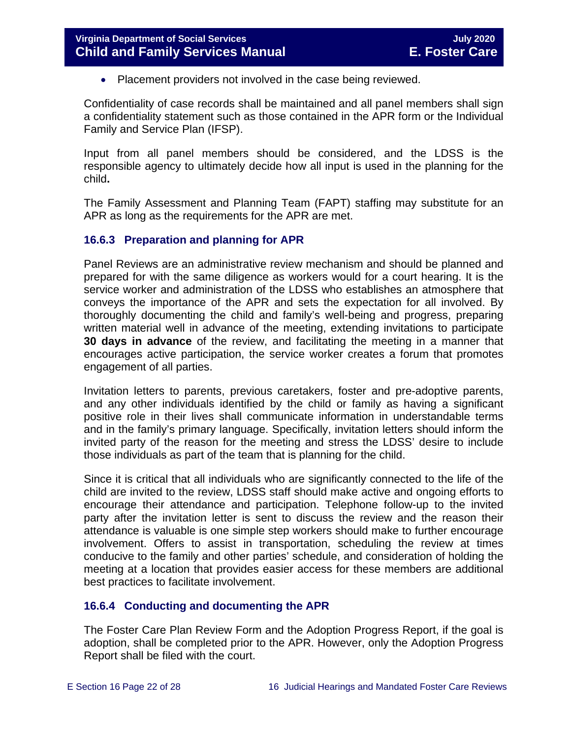• Placement providers not involved in the case being reviewed.

Confidentiality of case records shall be maintained and all panel members shall sign a confidentiality statement such as those contained in the APR form or the Individual Family and Service Plan (IFSP).

Input from all panel members should be considered, and the LDSS is the responsible agency to ultimately decide how all input is used in the planning for the child**.** 

The Family Assessment and Planning Team (FAPT) staffing may substitute for an APR as long as the requirements for the APR are met.

## <span id="page-21-0"></span>**16.6.3 Preparation and planning for APR**

Panel Reviews are an administrative review mechanism and should be planned and prepared for with the same diligence as workers would for a court hearing. It is the service worker and administration of the LDSS who establishes an atmosphere that conveys the importance of the APR and sets the expectation for all involved. By thoroughly documenting the child and family's well-being and progress, preparing written material well in advance of the meeting, extending invitations to participate **30 days in advance** of the review, and facilitating the meeting in a manner that encourages active participation, the service worker creates a forum that promotes engagement of all parties.

Invitation letters to parents, previous caretakers, foster and pre-adoptive parents, and any other individuals identified by the child or family as having a significant positive role in their lives shall communicate information in understandable terms and in the family's primary language. Specifically, invitation letters should inform the invited party of the reason for the meeting and stress the LDSS' desire to include those individuals as part of the team that is planning for the child.

Since it is critical that all individuals who are significantly connected to the life of the child are invited to the review, LDSS staff should make active and ongoing efforts to encourage their attendance and participation. Telephone follow-up to the invited party after the invitation letter is sent to discuss the review and the reason their attendance is valuable is one simple step workers should make to further encourage involvement. Offers to assist in transportation, scheduling the review at times conducive to the family and other parties' schedule, and consideration of holding the meeting at a location that provides easier access for these members are additional best practices to facilitate involvement.

## <span id="page-21-1"></span>**16.6.4 Conducting and documenting the APR**

The Foster Care Plan Review Form and the Adoption Progress Report, if the goal is adoption, shall be completed prior to the APR. However, only the Adoption Progress Report shall be filed with the court.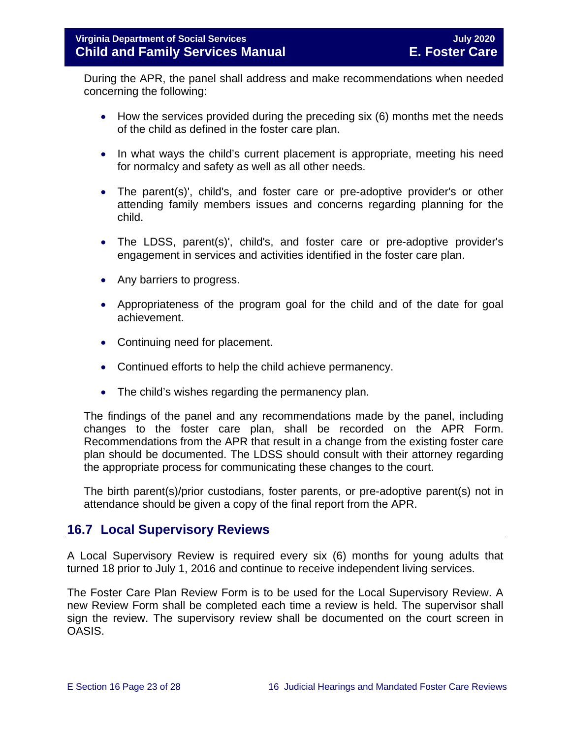During the APR, the panel shall address and make recommendations when needed concerning the following:

- How the services provided during the preceding six (6) months met the needs of the child as defined in the foster care plan.
- In what ways the child's current placement is appropriate, meeting his need for normalcy and safety as well as all other needs.
- The parent(s)', child's, and foster care or pre-adoptive provider's or other attending family members issues and concerns regarding planning for the child.
- The LDSS, parent(s)', child's, and foster care or pre-adoptive provider's engagement in services and activities identified in the foster care plan.
- Any barriers to progress.
- Appropriateness of the program goal for the child and of the date for goal achievement.
- Continuing need for placement.
- Continued efforts to help the child achieve permanency.
- The child's wishes regarding the permanency plan.

The findings of the panel and any recommendations made by the panel, including changes to the foster care plan, shall be recorded on the APR Form. Recommendations from the APR that result in a change from the existing foster care plan should be documented. The LDSS should consult with their attorney regarding the appropriate process for communicating these changes to the court.

The birth parent(s)/prior custodians, foster parents, or pre-adoptive parent(s) not in attendance should be given a copy of the final report from the APR.

## <span id="page-22-0"></span>**16.7 Local Supervisory Reviews**

A Local Supervisory Review is required every six (6) months for young adults that turned 18 prior to July 1, 2016 and continue to receive independent living services.

The Foster Care Plan Review Form is to be used for the Local Supervisory Review. A new Review Form shall be completed each time a review is held. The supervisor shall sign the review. The supervisory review shall be documented on the court screen in OASIS.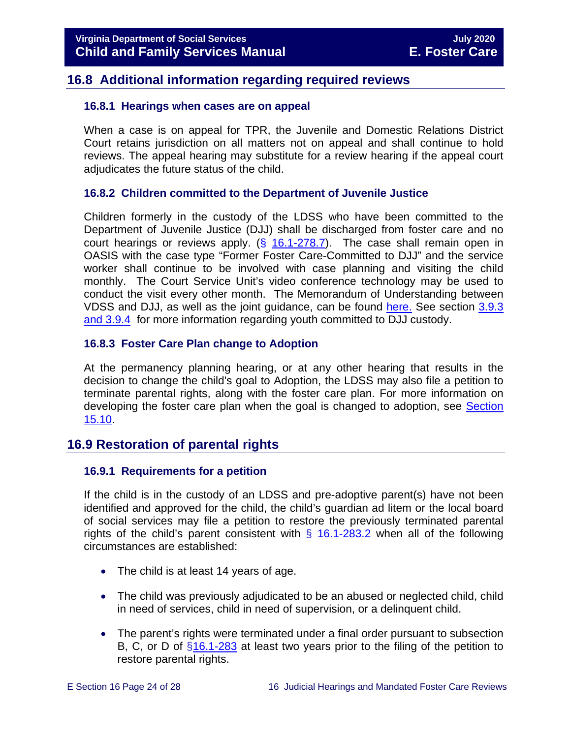## <span id="page-23-0"></span>**16.8 Additional information regarding required reviews**

### <span id="page-23-1"></span>**16.8.1 Hearings when cases are on appeal**

When a case is on appeal for TPR, the Juvenile and Domestic Relations District Court retains jurisdiction on all matters not on appeal and shall continue to hold reviews. The appeal hearing may substitute for a review hearing if the appeal court adjudicates the future status of the child.

## <span id="page-23-2"></span>**16.8.2 Children committed to the Department of Juvenile Justice**

Children formerly in the custody of the LDSS who have been committed to the Department of Juvenile Justice (DJJ) shall be discharged from foster care and no court hearings or reviews apply.  $(\frac{6}{16.1} - 278.7)$ . The case shall remain open in OASIS with the case type "Former Foster Care-Committed to DJJ" and the service worker shall continue to be involved with case planning and visiting the child monthly. The Court Service Unit's video conference technology may be used to conduct the visit every other month. The Memorandum of Understanding between VDSS and DJJ, as well as the joint guidance, can be found [here.](https://fusion.dss.virginia.gov/dfs/DFS-Home/Foster-Care/Juvenile-Justice) See section [3.9.3](https://fusion.dss.virginia.gov/Portals/%5bdfs%5d/Files/DFS%20Manuals/Foster%20Care%20Manuals/Foster%20Care%20Manual%2007-2020/Final%20Foster%20Care%20Manual%2007-2020/section_3_entering_foster_care.pdf#page=30)  [and 3.9.4](https://fusion.dss.virginia.gov/Portals/%5bdfs%5d/Files/DFS%20Manuals/Foster%20Care%20Manuals/Foster%20Care%20Manual%2007-2020/Final%20Foster%20Care%20Manual%2007-2020/section_3_entering_foster_care.pdf#page=30) for more information regarding youth committed to DJJ custody.

## <span id="page-23-3"></span>**16.8.3 Foster Care Plan change to Adoption**

At the permanency planning hearing, or at any other hearing that results in the decision to change the child's goal to Adoption, the LDSS may also file a petition to terminate parental rights, along with the foster care plan. For more information on developing the foster care plan when the goal is changed to adoption, see [Section](https://fusion.dss.virginia.gov/Portals/%5bdfs%5d/Files/DFS%20Manuals/Foster%20Care%20Manuals/Foster%20Care%20Manual%2007-2020/Final%20Foster%20Care%20Manual%2007-2020/section_15_developing_service_plan.pdf#page=14)  [15.10.](https://fusion.dss.virginia.gov/Portals/%5bdfs%5d/Files/DFS%20Manuals/Foster%20Care%20Manuals/Foster%20Care%20Manual%2007-2020/Final%20Foster%20Care%20Manual%2007-2020/section_15_developing_service_plan.pdf#page=14)

## <span id="page-23-4"></span>**16.9 Restoration of parental rights**

#### <span id="page-23-5"></span>**16.9.1 Requirements for a petition**

If the child is in the custody of an LDSS and pre-adoptive parent(s) have not been identified and approved for the child, the child's guardian ad litem or the local board of social services may file a petition to restore the previously terminated parental rights of the child's parent consistent with  $\S$  [16.1-283.2](https://law.lis.virginia.gov/vacode/16.1-283.2/) when all of the following circumstances are established:

- The child is at least 14 years of age.
- The child was previously adjudicated to be an abused or neglected child, child in need of services, child in need of supervision, or a delinquent child.
- The parent's rights were terminated under a final order pursuant to subsection B, C, or D of [§16.1-283](https://law.lis.virginia.gov/vacode/16.1-283/) at least two years prior to the filing of the petition to restore parental rights.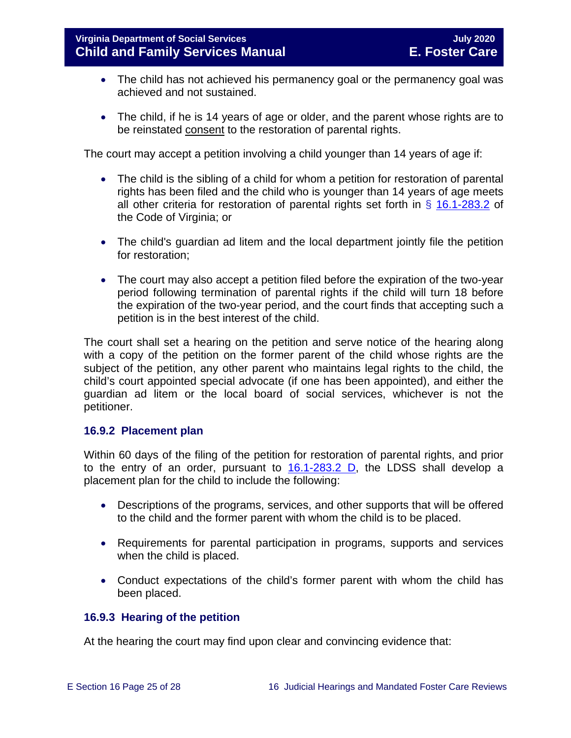- The child has not achieved his permanency goal or the permanency goal was achieved and not sustained.
- The child, if he is 14 years of age or older, and the parent whose rights are to be reinstated consent to the restoration of parental rights.

The court may accept a petition involving a child younger than 14 years of age if:

- The child is the sibling of a child for whom a petition for restoration of parental rights has been filed and the child who is younger than 14 years of age meets all other criteria for restoration of parental rights set forth in  $\S$  [16.1-283.2](https://law.lis.virginia.gov/vacode/title16.1/chapter11/section16.1-283.2/) of the Code of Virginia; or
- The child's guardian ad litem and the local department jointly file the petition for restoration;
- The court may also accept a petition filed before the expiration of the two-year period following termination of parental rights if the child will turn 18 before the expiration of the two-year period, and the court finds that accepting such a petition is in the best interest of the child.

The court shall set a hearing on the petition and serve notice of the hearing along with a copy of the petition on the former parent of the child whose rights are the subject of the petition, any other parent who maintains legal rights to the child, the child's court appointed special advocate (if one has been appointed), and either the guardian ad litem or the local board of social services, whichever is not the petitioner.

## <span id="page-24-0"></span>**16.9.2 Placement plan**

Within 60 days of the filing of the petition for restoration of parental rights, and prior to the entry of an order, pursuant to [16.1-283.2 D,](https://law.lis.virginia.gov/vacode/title16.1/chapter11/section16.1-283.2/) the LDSS shall develop a placement plan for the child to include the following:

- Descriptions of the programs, services, and other supports that will be offered to the child and the former parent with whom the child is to be placed.
- Requirements for parental participation in programs, supports and services when the child is placed.
- Conduct expectations of the child's former parent with whom the child has been placed.

## <span id="page-24-1"></span>**16.9.3 Hearing of the petition**

At the hearing the court may find upon clear and convincing evidence that: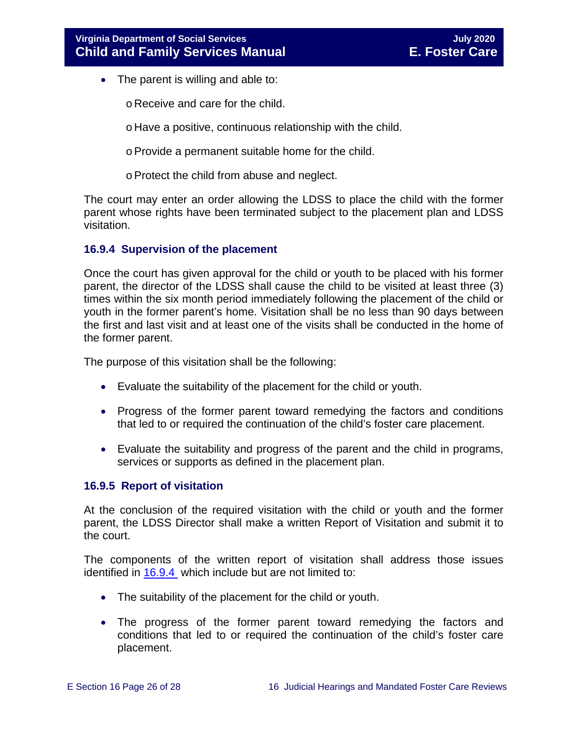- The parent is willing and able to:
	- o Receive and care for the child.
	- o Have a positive, continuous relationship with the child.
	- oProvide a permanent suitable home for the child.
	- oProtect the child from abuse and neglect.

The court may enter an order allowing the LDSS to place the child with the former parent whose rights have been terminated subject to the placement plan and LDSS visitation.

#### <span id="page-25-0"></span>**16.9.4 Supervision of the placement**

Once the court has given approval for the child or youth to be placed with his former parent, the director of the LDSS shall cause the child to be visited at least three (3) times within the six month period immediately following the placement of the child or youth in the former parent's home. Visitation shall be no less than 90 days between the first and last visit and at least one of the visits shall be conducted in the home of the former parent.

The purpose of this visitation shall be the following:

- Evaluate the suitability of the placement for the child or youth.
- Progress of the former parent toward remedying the factors and conditions that led to or required the continuation of the child's foster care placement.
- Evaluate the suitability and progress of the parent and the child in programs, services or supports as defined in the placement plan.

#### <span id="page-25-1"></span>**16.9.5 Report of visitation**

At the conclusion of the required visitation with the child or youth and the former parent, the LDSS Director shall make a written Report of Visitation and submit it to the court.

The components of the written report of visitation shall address those issues identified in [16.9.4](#page-25-0) which include but are not limited to:

- The suitability of the placement for the child or youth.
- The progress of the former parent toward remedying the factors and conditions that led to or required the continuation of the child's foster care placement.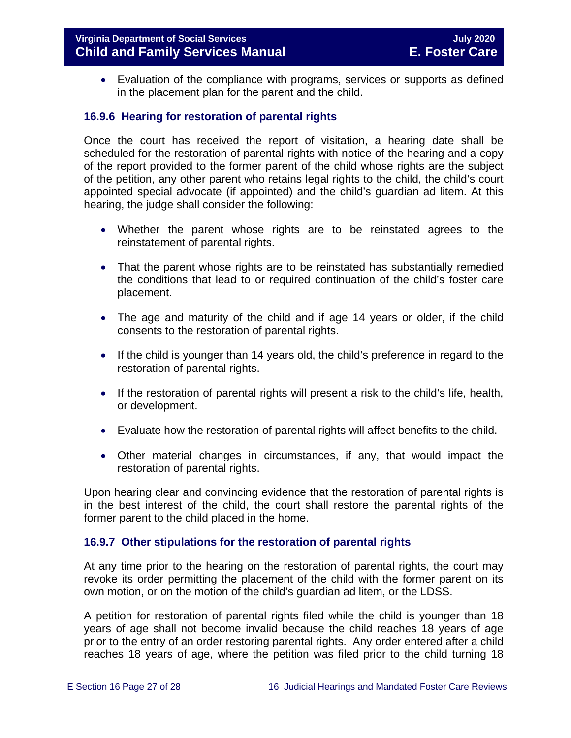• Evaluation of the compliance with programs, services or supports as defined in the placement plan for the parent and the child.

## <span id="page-26-0"></span>**16.9.6 Hearing for restoration of parental rights**

Once the court has received the report of visitation, a hearing date shall be scheduled for the restoration of parental rights with notice of the hearing and a copy of the report provided to the former parent of the child whose rights are the subject of the petition, any other parent who retains legal rights to the child, the child's court appointed special advocate (if appointed) and the child's guardian ad litem. At this hearing, the judge shall consider the following:

- Whether the parent whose rights are to be reinstated agrees to the reinstatement of parental rights.
- That the parent whose rights are to be reinstated has substantially remedied the conditions that lead to or required continuation of the child's foster care placement.
- The age and maturity of the child and if age 14 years or older, if the child consents to the restoration of parental rights.
- If the child is younger than 14 years old, the child's preference in regard to the restoration of parental rights.
- If the restoration of parental rights will present a risk to the child's life, health, or development.
- Evaluate how the restoration of parental rights will affect benefits to the child.
- Other material changes in circumstances, if any, that would impact the restoration of parental rights.

Upon hearing clear and convincing evidence that the restoration of parental rights is in the best interest of the child, the court shall restore the parental rights of the former parent to the child placed in the home.

#### <span id="page-26-1"></span>**16.9.7 Other stipulations for the restoration of parental rights**

At any time prior to the hearing on the restoration of parental rights, the court may revoke its order permitting the placement of the child with the former parent on its own motion, or on the motion of the child's guardian ad litem, or the LDSS.

A petition for restoration of parental rights filed while the child is younger than 18 years of age shall not become invalid because the child reaches 18 years of age prior to the entry of an order restoring parental rights. Any order entered after a child reaches 18 years of age, where the petition was filed prior to the child turning 18